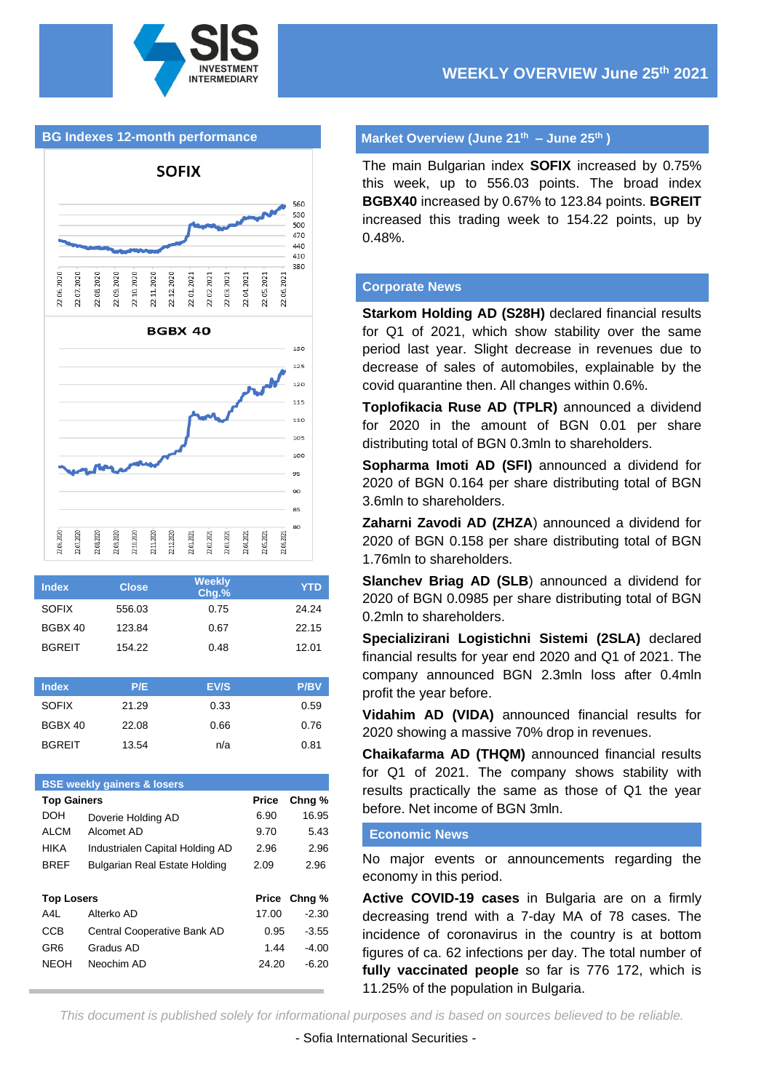

#### **BG Indexes 12-month performance**





| <b>Index</b>  | <b>Close</b> | <b>Weekly</b><br>Chq.% | YTD   |
|---------------|--------------|------------------------|-------|
| <b>SOFIX</b>  | 556.03       | 0.75                   | 24.24 |
| BGBX 40       | 123.84       | 0.67                   | 22.15 |
| <b>BGREIT</b> | 154.22       | 0.48                   | 12.01 |

| <b>Index</b>  | P/E   | EV/S | <b>P/BV</b> |
|---------------|-------|------|-------------|
| <b>SOFIX</b>  | 21.29 | 0.33 | 0.59        |
| BGBX 40       | 22.08 | 0.66 | 0.76        |
| <b>BGREIT</b> | 13.54 | n/a  | 0.81        |

| <b>BSE weekly gainers &amp; losers</b> |                                      |       |         |  |  |  |
|----------------------------------------|--------------------------------------|-------|---------|--|--|--|
| <b>Top Gainers</b>                     |                                      | Price | Chng %  |  |  |  |
| DOH                                    | Doverie Holding AD                   | 6.90  | 16.95   |  |  |  |
| AI CM                                  | Alcomet AD                           | 9.70  | 5.43    |  |  |  |
| HIKA                                   | Industrialen Capital Holding AD      | 2.96  | 2.96    |  |  |  |
| <b>BREF</b>                            | <b>Bulgarian Real Estate Holding</b> | 2.09  | 2.96    |  |  |  |
|                                        |                                      |       |         |  |  |  |
| <b>Top Losers</b>                      |                                      | Price | Chng %  |  |  |  |
| A4I.                                   | Alterko AD                           | 17.00 | $-2.30$ |  |  |  |
| CCB                                    | Central Cooperative Bank AD          | 0.95  | $-3.55$ |  |  |  |
| GR6                                    | Gradus AD                            | 1.44  | $-4.00$ |  |  |  |
| <b>NEOH</b>                            | Neochim AD                           | 24.20 | $-6.20$ |  |  |  |
|                                        |                                      |       |         |  |  |  |

### **Market Overview (June 21th – June 25th )**

The main Bulgarian index **SOFIX** increased by 0.75% this week, up to 556.03 points. The broad index **BGBX40** increased by 0.67% to 123.84 points. **BGREIT** increased this trading week to 154.22 points, up by 0.48%.

#### **Corporate News**

**Starkom Holding AD (S28H)** declared financial results for Q1 of 2021, which show stability over the same period last year. Slight decrease in revenues due to decrease of sales of automobiles, explainable by the covid quarantine then. All changes within 0.6%.

**Toplofikacia Ruse AD (TPLR)** announced a dividend for 2020 in the amount of BGN 0.01 per share distributing total of BGN 0.3mln to shareholders.

**Sopharma Imoti AD (SFI)** announced a dividend for 2020 of BGN 0.164 per share distributing total of BGN 3.6mln to shareholders.

**Zaharni Zavodi AD (ZHZA**) announced a dividend for 2020 of BGN 0.158 per share distributing total of BGN 1.76mln to shareholders.

**Slanchev Briag AD (SLB**) announced a dividend for 2020 of BGN 0.0985 per share distributing total of BGN 0.2mln to shareholders.

**Specializirani Logistichni Sistemi (2SLA)** declared financial results for year end 2020 and Q1 of 2021. The company announced BGN 2.3mln loss after 0.4mln profit the year before.

**Vidahim AD (VIDA)** announced financial results for 2020 showing a massive 70% drop in revenues.

**Chaikafarma AD (THQM)** announced financial results for Q1 of 2021. The company shows stability with results practically the same as those of Q1 the year before. Net income of BGN 3mln.

#### **Economic News**

No major events or announcements regarding the economy in this period.

**Active COVID-19 cases** in Bulgaria are on a firmly decreasing trend with a 7-day MA of 78 cases. The incidence of coronavirus in the country is at bottom figures of ca. 62 infections per day. The total number of **fully vaccinated people** so far is 776 172, which is 11.25% of the population in Bulgaria.

*This document is published solely for informational purposes and is based on sources believed to be reliable.* **Sofia International Securities**